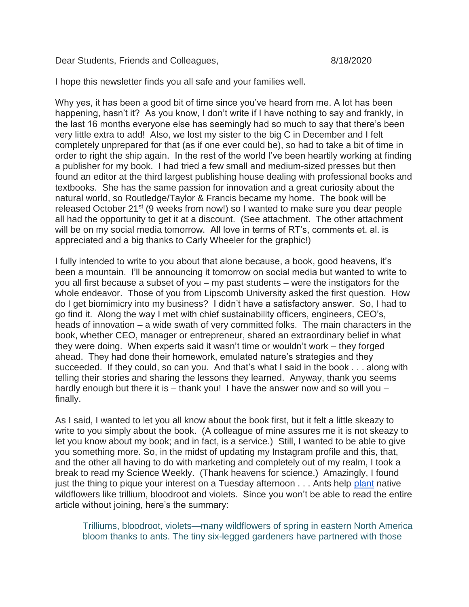Dear Students, Friends and Colleagues, Martin 1984-1842020

I hope this newsletter finds you all safe and your families well.

Why yes, it has been a good bit of time since you've heard from me. A lot has been happening, hasn't it? As you know, I don't write if I have nothing to say and frankly, in the last 16 months everyone else has seemingly had so much to say that there's been very little extra to add! Also, we lost my sister to the big C in December and I felt completely unprepared for that (as if one ever could be), so had to take a bit of time in order to right the ship again. In the rest of the world I've been heartily working at finding a publisher for my book. I had tried a few small and medium-sized presses but then found an editor at the third largest publishing house dealing with professional books and textbooks. She has the same passion for innovation and a great curiosity about the natural world, so Routledge/Taylor & Francis became my home. The book will be released October 21st (9 weeks from now!) so I wanted to make sure you dear people all had the opportunity to get it at a discount. (See attachment. The other attachment will be on my social media tomorrow. All love in terms of RT's, comments et. al. is appreciated and a big thanks to Carly Wheeler for the graphic!)

I fully intended to write to you about that alone because, a book, good heavens, it's been a mountain. I'll be announcing it tomorrow on social media but wanted to write to you all first because a subset of you – my past students – were the instigators for the whole endeavor. Those of you from Lipscomb University asked the first question. How do I get biomimicry into my business? I didn't have a satisfactory answer. So, I had to go find it. Along the way I met with chief sustainability officers, engineers, CEO's, heads of innovation – a wide swath of very committed folks. The main characters in the book, whether CEO, manager or entrepreneur, shared an extraordinary belief in what they were doing. When experts said it wasn't time or wouldn't work – they forged ahead. They had done their homework, emulated nature's strategies and they succeeded. If they could, so can you. And that's what I said in the book . . . along with telling their stories and sharing the lessons they learned. Anyway, thank you seems hardly enough but there it is – thank you! I have the answer now and so will you – finally.

As I said, I wanted to let you all know about the book first, but it felt a little skeazy to write to you simply about the book. (A colleague of mine assures me it is not skeazy to let you know about my book; and in fact, is a service.) Still, I wanted to be able to give you something more. So, in the midst of updating my Instagram profile and this, that, and the other all having to do with marketing and completely out of my realm, I took a break to read my Science Weekly. (Thank heavens for science.) Amazingly, I found just the thing to pique your interest on a Tuesday afternoon . . . Ants help [plant](https://science.sciencemag.org/content/369/6505/758?utm_campaign=wnews_sci_2020-08-14&et_rid=40177356&et_cid=3446732) native wildflowers like trillium, bloodroot and violets. Since you won't be able to read the entire article without joining, here's the summary:

Trilliums, bloodroot, violets—many wildflowers of spring in eastern North America bloom thanks to ants. The tiny six-legged gardeners have partnered with those